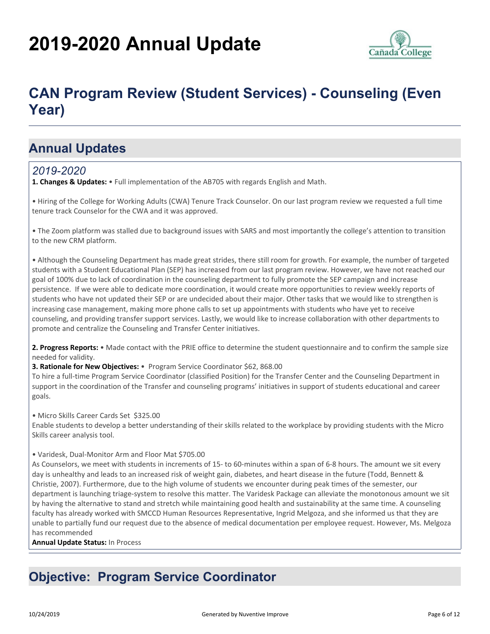# **2019-2020 Annual Update**



# **CAN Program Review (Student Services) - Counseling (Even Year)**

## **Annual Updates**

## *2019-2020*

**1. Changes & Updates:** • Full implementation of the AB705 with regards English and Math.

• Hiring of the College for Working Adults (CWA) Tenure Track Counselor. On our last program review we requested a full time tenure track Counselor for the CWA and it was approved.

• The Zoom platform was stalled due to background issues with SARS and most importantly the college's attention to transition to the new CRM platform.

• Although the Counseling Department has made great strides, there still room for growth. For example, the number of targeted students with a Student Educational Plan (SEP) has increased from our last program review. However, we have not reached our goal of 100% due to lack of coordination in the counseling department to fully promote the SEP campaign and increase persistence. If we were able to dedicate more coordination, it would create more opportunities to review weekly reports of students who have not updated their SEP or are undecided about their major. Other tasks that we would like to strengthen is increasing case management, making more phone calls to set up appointments with students who have yet to receive counseling, and providing transfer support services. Lastly, we would like to increase collaboration with other departments to promote and centralize the Counseling and Transfer Center initiatives.

**2. Progress Reports:** • Made contact with the PRIE office to determine the student questionnaire and to confirm the sample size needed for validity.

**3. Rationale for New Objectives:** • Program Service Coordinator \$62, 868.00

To hire a full-time Program Service Coordinator (classified Position) for the Transfer Center and the Counseling Department in support in the coordination of the Transfer and counseling programs' initiatives in support of students educational and career goals.

• Micro Skills Career Cards Set \$325.00

Enable students to develop a better understanding of their skills related to the workplace by providing students with the Micro Skills career analysis tool.

#### • Varidesk, Dual-Monitor Arm and Floor Mat \$705.00

As Counselors, we meet with students in increments of 15- to 60-minutes within a span of 6-8 hours. The amount we sit every day is unhealthy and leads to an increased risk of weight gain, diabetes, and heart disease in the future (Todd, Bennett & Christie, 2007). Furthermore, due to the high volume of students we encounter during peak times of the semester, our department is launching triage-system to resolve this matter. The Varidesk Package can alleviate the monotonous amount we sit by having the alternative to stand and stretch while maintaining good health and sustainability at the same time. A counseling faculty has already worked with SMCCD Human Resources Representative, Ingrid Melgoza, and she informed us that they are unable to partially fund our request due to the absence of medical documentation per employee request. However, Ms. Melgoza has recommended

**Annual Update Status:** In Process

## **Objective: Program Service Coordinator**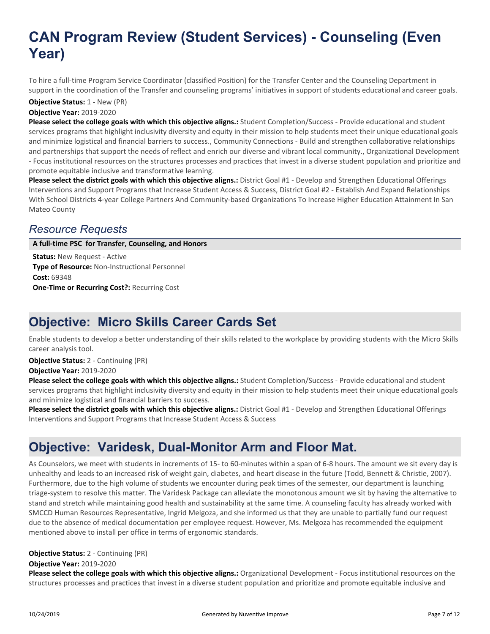# **CAN Program Review (Student Services) - Counseling (Even Year)**

To hire a full-time Program Service Coordinator (classified Position) for the Transfer Center and the Counseling Department in support in the coordination of the Transfer and counseling programs' initiatives in support of students educational and career goals.

### **Objective Status:** 1 - New (PR)

**Objective Year:** 2019-2020

**Please select the college goals with which this objective aligns.:** Student Completion/Success - Provide educational and student services programs that highlight inclusivity diversity and equity in their mission to help students meet their unique educational goals and minimize logistical and financial barriers to success., Community Connections - Build and strengthen collaborative relationships and partnerships that support the needs of reflect and enrich our diverse and vibrant local community., Organizational Development - Focus institutional resources on the structures processes and practices that invest in a diverse student population and prioritize and promote equitable inclusive and transformative learning.

**Please select the district goals with which this objective aligns.:** District Goal #1 - Develop and Strengthen Educational Offerings Interventions and Support Programs that Increase Student Access & Success, District Goal #2 - Establish And Expand Relationships With School Districts 4-year College Partners And Community-based Organizations To Increase Higher Education Attainment In San Mateo County

## *Resource Requests*

**A full-time PSC for Transfer, Counseling, and Honors**

**Status:** New Request - Active **Type of Resource:** Non-Instructional Personnel **Cost:** 69348 **One-Time or Recurring Cost?:** Recurring Cost

## **Objective: Micro Skills Career Cards Set**

Enable students to develop a better understanding of their skills related to the workplace by providing students with the Micro Skills career analysis tool.

**Objective Year:** 2019-2020 **Objective Status:** 2 - Continuing (PR)

**Please select the college goals with which this objective aligns.:** Student Completion/Success - Provide educational and student services programs that highlight inclusivity diversity and equity in their mission to help students meet their unique educational goals and minimize logistical and financial barriers to success.

**Please select the district goals with which this objective aligns.:** District Goal #1 - Develop and Strengthen Educational Offerings Interventions and Support Programs that Increase Student Access & Success

# **Objective: Varidesk, Dual-Monitor Arm and Floor Mat.**

As Counselors, we meet with students in increments of 15- to 60-minutes within a span of 6-8 hours. The amount we sit every day is unhealthy and leads to an increased risk of weight gain, diabetes, and heart disease in the future (Todd, Bennett & Christie, 2007). Furthermore, due to the high volume of students we encounter during peak times of the semester, our department is launching triage-system to resolve this matter. The Varidesk Package can alleviate the monotonous amount we sit by having the alternative to stand and stretch while maintaining good health and sustainability at the same time. A counseling faculty has already worked with SMCCD Human Resources Representative, Ingrid Melgoza, and she informed us that they are unable to partially fund our request due to the absence of medical documentation per employee request. However, Ms. Melgoza has recommended the equipment mentioned above to install per office in terms of ergonomic standards.

### **Objective Status:** 2 - Continuing (PR)

#### **Objective Year:** 2019-2020

**Please select the college goals with which this objective aligns.:** Organizational Development - Focus institutional resources on the structures processes and practices that invest in a diverse student population and prioritize and promote equitable inclusive and